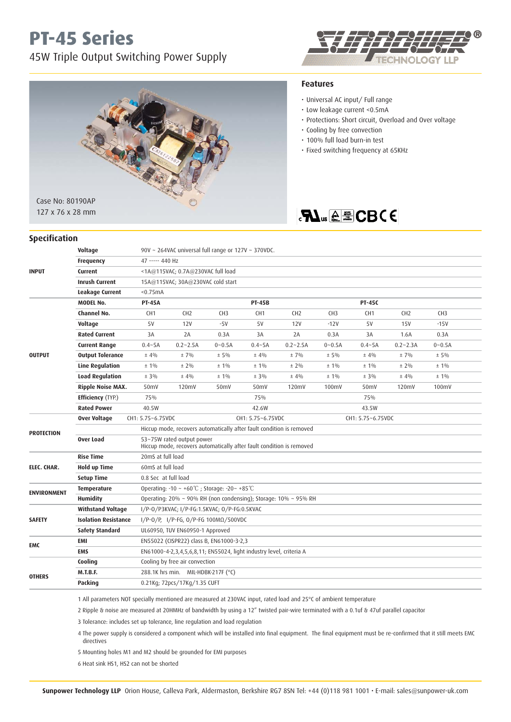## **PT-45 Series**

45W Triple Output Switching Power Supply





#### **Features**

- Universal AC input/ Full range
- Low leakage current <0.5mA
- Protections: Short circuit, Overload and Over voltage
- Cooling by free convection
- 100% full load burn-in test
- Fixed switching frequency at 65KHz

## **FLUS A E CBCE**

| <b>Specification</b> |                             |                                                                               |                                                                                                   |                   |                 |                 |                   |                 |                 |                 |  |
|----------------------|-----------------------------|-------------------------------------------------------------------------------|---------------------------------------------------------------------------------------------------|-------------------|-----------------|-----------------|-------------------|-----------------|-----------------|-----------------|--|
|                      | Voltage                     | 90V ~ 264VAC universal full range or 127V ~ 370VDC.                           |                                                                                                   |                   |                 |                 |                   |                 |                 |                 |  |
| <b>INPUT</b>         | <b>Frequency</b>            | 47 ----- 440 Hz                                                               |                                                                                                   |                   |                 |                 |                   |                 |                 |                 |  |
|                      | <b>Current</b>              | <1A@115VAC; 0.7A@230VAC full load                                             |                                                                                                   |                   |                 |                 |                   |                 |                 |                 |  |
|                      | <b>Inrush Current</b>       | 15A@115VAC; 30A@230VAC cold start                                             |                                                                                                   |                   |                 |                 |                   |                 |                 |                 |  |
|                      | Leakage Current             | < 0.75mA                                                                      |                                                                                                   |                   |                 |                 |                   |                 |                 |                 |  |
| <b>OUTPUT</b>        | <b>MODEL No.</b>            | <b>PT-45A</b>                                                                 |                                                                                                   |                   | <b>PT-45B</b>   |                 |                   | <b>PT-45C</b>   |                 |                 |  |
|                      | Channel No.                 | CH <sub>1</sub>                                                               | CH <sub>2</sub>                                                                                   | CH <sub>3</sub>   | CH <sub>1</sub> | CH <sub>2</sub> | CH <sub>3</sub>   | CH <sub>1</sub> | CH <sub>2</sub> | CH <sub>3</sub> |  |
|                      | Voltage                     | 5V                                                                            | 12V                                                                                               | $-5V$             | <b>5V</b>       | 12V             | $-12V$            | 5V              | <b>15V</b>      | $-15V$          |  |
|                      | <b>Rated Current</b>        | 3A                                                                            | 2A                                                                                                | 0.3A              | 3A              | 2A              | 0.3A              | 3A              | 1.6A            | 0.3A            |  |
|                      | <b>Current Range</b>        | $0.4 - 5A$                                                                    | $0.2 - 2.5A$                                                                                      | $0 - 0.5A$        | $0.4 - 5A$      | $0.2 - 2.5A$    | $0 - 0.5A$        | $0.4 - 5A$      | $0.2 - 2.3A$    | $0 - 0.5A$      |  |
|                      | <b>Output Tolerance</b>     | $±$ 4%                                                                        | ±7%                                                                                               | $± 5\%$           | ± 4%            | $±7\%$          | $± 5\%$           | $±$ 4%          | ±7%             | $± 5\%$         |  |
|                      | <b>Line Regulation</b>      | $± 1\%$                                                                       | $± 2\%$                                                                                           | $± 1\%$           | $± 1\%$         | $± 2\%$         | $± 1\%$           | $± 1\%$         | $± 2\%$         | $± 1\%$         |  |
|                      | <b>Load Regulation</b>      | $± 3\%$                                                                       | $±$ 4%                                                                                            | $± 1\%$           | $± 3\%$         | $± 4\%$         | $±1\%$            | $± 3\%$         | $± 4\%$         | $±1\%$          |  |
|                      | <b>Ripple Noise MAX.</b>    | 50mV                                                                          | 120mV                                                                                             | 50mV              | 50mV            | 120mV           | 100mV             | 50mV            | 120mV           | 100mV           |  |
|                      | <b>Efficiency</b> (TYP.)    | 75%                                                                           |                                                                                                   | 75%               |                 |                 | 75%               |                 |                 |                 |  |
|                      | <b>Rated Power</b>          | 40.5W                                                                         |                                                                                                   |                   | 42.6W           |                 |                   | 43.5W           |                 |                 |  |
| <b>PROTECTION</b>    | <b>Over Voltage</b>         | CH1: 5.75~6.75VDC                                                             |                                                                                                   | CH1: 5.75~6.75VDC |                 |                 | CH1: 5.75~6.75VDC |                 |                 |                 |  |
|                      |                             | Hiccup mode, recovers automatically after fault condition is removed          |                                                                                                   |                   |                 |                 |                   |                 |                 |                 |  |
|                      | Over Load                   |                                                                               | 53~75W rated output power<br>Hiccup mode, recovers automatically after fault condition is removed |                   |                 |                 |                   |                 |                 |                 |  |
| ELEC. CHAR.          | <b>Rise Time</b>            | 20mS at full load                                                             |                                                                                                   |                   |                 |                 |                   |                 |                 |                 |  |
|                      | <b>Hold up Time</b>         | 60mS at full load                                                             |                                                                                                   |                   |                 |                 |                   |                 |                 |                 |  |
|                      | <b>Setup Time</b>           |                                                                               | 0.8 Sec at full load                                                                              |                   |                 |                 |                   |                 |                 |                 |  |
| <b>ENVIRONMENT</b>   | <b>Temperature</b>          | Operating: -10 ~ +60℃; Storage: -20~ +85℃                                     |                                                                                                   |                   |                 |                 |                   |                 |                 |                 |  |
|                      | <b>Humidity</b>             | Operating: $20\% \sim 90\%$ RH (non condensing); Storage: $10\% \sim 95\%$ RH |                                                                                                   |                   |                 |                 |                   |                 |                 |                 |  |
| <b>SAFETY</b>        | <b>Withstand Voltage</b>    | I/P-0/P3KVAC; I/P-FG:1.5KVAC; 0/P-FG:0.5KVAC                                  |                                                                                                   |                   |                 |                 |                   |                 |                 |                 |  |
|                      | <b>Isolation Resistance</b> | $1/P-O/P$ , $1/P-FG$ , $O/P-FG$ 100M $\Omega/500VDC$                          |                                                                                                   |                   |                 |                 |                   |                 |                 |                 |  |
|                      | <b>Safety Standard</b>      |                                                                               | UL60950, TUV EN60950-1 Approved                                                                   |                   |                 |                 |                   |                 |                 |                 |  |
| <b>EMC</b>           | <b>EMI</b>                  |                                                                               | EN55022 (CISPR22) class B, EN61000-3-2,3                                                          |                   |                 |                 |                   |                 |                 |                 |  |
|                      | <b>EMS</b>                  |                                                                               | EN61000-4-2,3,4,5,6,8,11; EN55024, light industry level, criteria A                               |                   |                 |                 |                   |                 |                 |                 |  |
| <b>OTHERS</b>        | Cooling                     |                                                                               | Cooling by free air convection                                                                    |                   |                 |                 |                   |                 |                 |                 |  |
|                      | <b>M.T.B.F.</b>             | 288.1K hrs min. MIL-HDBK-217F (°C)                                            |                                                                                                   |                   |                 |                 |                   |                 |                 |                 |  |
|                      | Packing                     |                                                                               | 0.21Kg; 72pcs/17Kg/1.35 CUFT                                                                      |                   |                 |                 |                   |                 |                 |                 |  |
|                      |                             |                                                                               |                                                                                                   |                   |                 |                 |                   |                 |                 |                 |  |

1 All parameters NOT specially mentioned are measured at 230VAC input, rated load and 25°C of ambient temperature

2 Ripple & noise are measured at 20HMHz of bandwidth by using a 12" twisted pair-wire terminated with a 0.1uf & 47uf parallel capacitor

3 Tolerance: includes set up tolerance, line regulation and load regulation

 4 The power supply is considered a component which will be installed into final equipment. The final equipment must be re-confirmed that it still meets EMC directives

5 Mounting holes M1 and M2 should be grounded for EMI purposes

6 Heat sink HS1, HS2 can not be shorted